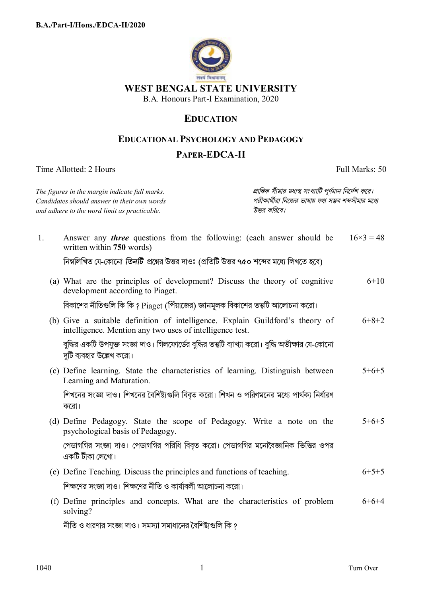

**WEST BENGAL STATE UNIVERSITY** 

B.A. Honours Part-I Examination, 2020

## **EDUCATION**

## **EDUCATIONAL PSYCHOLOGY AND PEDAGOGY**

## **PAPER-EDCA-II**

Time Allotted: 2 Hours Full Marks: 50

|                                                                                             | The figures in the margin indicate full marks.                                                                                            | প্রান্তিক সীমার মধ্যস্থ সংখ্যাটি পূর্ণমান নির্দেশ করে।               |                |  |
|---------------------------------------------------------------------------------------------|-------------------------------------------------------------------------------------------------------------------------------------------|----------------------------------------------------------------------|----------------|--|
| Candidates should answer in their own words<br>and adhere to the word limit as practicable. |                                                                                                                                           | পরীক্ষার্থীরা নিজের ভাষায় যথা সম্ভব শব্দসীমার মধ্যে<br>উত্তর করিবে। |                |  |
| 1.                                                                                          | Answer any <i>three</i> questions from the following: (each answer should be<br>written within 750 words)                                 |                                                                      | $16\times3=48$ |  |
|                                                                                             | নিম্নলিখিত যে-কোনো <i>তিনটি প্র</i> শ্নের উত্তর দাওঃ (প্রতিটি উত্তর ৭৫০ শব্দের মধ্যে লিখতে হবে)                                           |                                                                      |                |  |
|                                                                                             | (a) What are the principles of development? Discuss the theory of cognitive<br>development according to Piaget.                           |                                                                      | $6 + 10$       |  |
|                                                                                             | বিকাশের নীতিগুলি কি কি ? Piaget (পিঁয়াজের) জ্ঞানমূলক বিকাশের তত্ত্বটি আলোচনা করো।                                                        |                                                                      |                |  |
|                                                                                             | (b) Give a suitable definition of intelligence. Explain Guildford's theory of<br>intelligence. Mention any two uses of intelligence test. |                                                                      | $6+8+2$        |  |
|                                                                                             | বুদ্ধির একটি উপযুক্ত সংজ্ঞা দাও। গিলফোর্ডের বুদ্ধির তত্ত্বটি ব্যাখ্যা করো। বুদ্ধি অভীক্ষার যে-কোনো<br>দুটি ব্যবহার উল্লেখ করো।            |                                                                      |                |  |
|                                                                                             | (c) Define learning. State the characteristics of learning. Distinguish between<br>Learning and Maturation.                               |                                                                      | $5+6+5$        |  |
|                                                                                             | শিখনের সংজ্ঞা দাও। শিখনের বৈশিষ্ট্যগুলি বিবৃত করো। শিখন ও পরিণমনের মধ্যে পার্থক্য নির্ধারণ<br>করো।                                        |                                                                      |                |  |
|                                                                                             | (d) Define Pedagogy. State the scope of Pedagogy. Write a note on the<br>psychological basis of Pedagogy.                                 |                                                                      | $5+6+5$        |  |
|                                                                                             | পেডাগগির সংজ্ঞা দাও। পেডাগগির পরিধি বিবৃত করো। পেডাগগির মনোবৈজ্ঞানিক ভিত্তির ওপর<br>একটি টীকা লেখো।                                       |                                                                      |                |  |
|                                                                                             | (e) Define Teaching. Discuss the principles and functions of teaching.                                                                    |                                                                      | $6+5+5$        |  |
|                                                                                             | শিক্ষণের সংজ্ঞা দাও। শিক্ষণের নীতি ও কার্যাবলী আলোচনা করো।                                                                                |                                                                      |                |  |
|                                                                                             | (f) Define principles and concepts. What are the characteristics of problem<br>solving?                                                   |                                                                      | $6+6+4$        |  |
|                                                                                             | নীতি ও ধারণার সংজ্ঞা দাও। সমস্যা সমাধানের বৈশিষ্ট্যগুলি কি ?                                                                              |                                                                      |                |  |